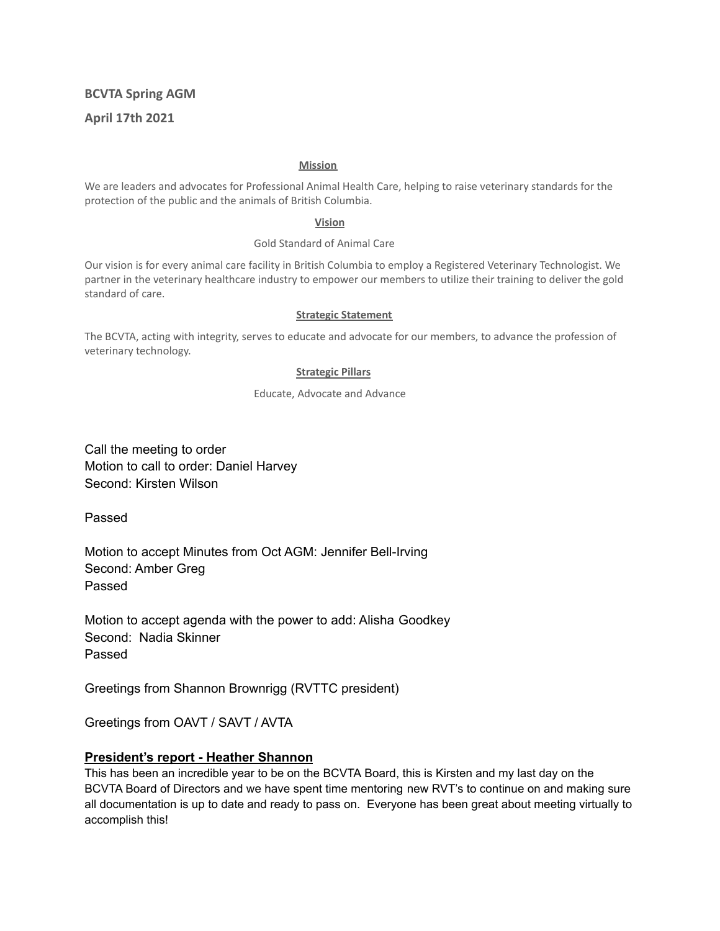# **BCVTA Spring AGM April 17th 2021**

#### **Mission**

We are leaders and advocates for Professional Animal Health Care, helping to raise veterinary standards for the protection of the public and the animals of British Columbia.

#### **Vision**

#### Gold Standard of Animal Care

Our vision is for every animal care facility in British Columbia to employ a Registered Veterinary Technologist. We partner in the veterinary healthcare industry to empower our members to utilize their training to deliver the gold standard of care.

#### **Strategic Statement**

The BCVTA, acting with integrity, serves to educate and advocate for our members, to advance the profession of veterinary technology.

#### **Strategic Pillars**

Educate, Advocate and Advance

Call the meeting to order Motion to call to order: Daniel Harvey Second: Kirsten Wilson

Passed

Motion to accept Minutes from Oct AGM: Jennifer Bell-Irving Second: Amber Greg Passed

Motion to accept agenda with the power to add: Alisha Goodkey Second: Nadia Skinner Passed

Greetings from Shannon Brownrigg (RVTTC president)

Greetings from OAVT / SAVT / AVTA

#### **President's report - Heather Shannon**

This has been an incredible year to be on the BCVTA Board, this is Kirsten and my last day on the BCVTA Board of Directors and we have spent time mentoring new RVT's to continue on and making sure all documentation is up to date and ready to pass on. Everyone has been great about meeting virtually to accomplish this!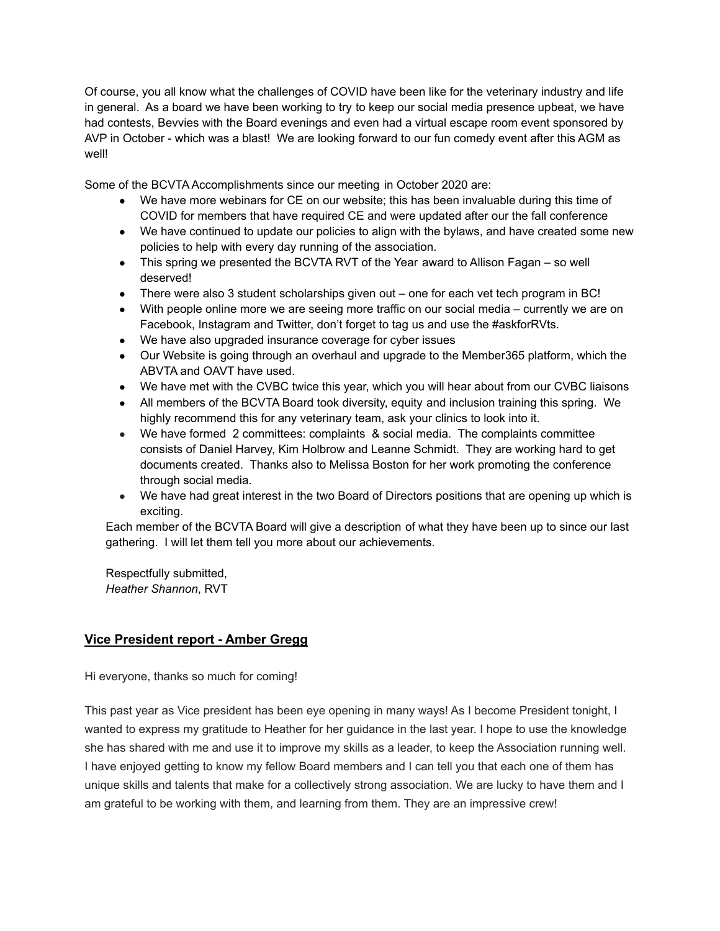Of course, you all know what the challenges of COVID have been like for the veterinary industry and life in general. As a board we have been working to try to keep our social media presence upbeat, we have had contests, Bevvies with the Board evenings and even had a virtual escape room event sponsored by AVP in October - which was a blast! We are looking forward to our fun comedy event after this AGM as well!

Some of the BCVTA Accomplishments since our meeting in October 2020 are:

- We have more webinars for CE on our website; this has been invaluable during this time of COVID for members that have required CE and were updated after our the fall conference
- We have continued to update our policies to align with the bylaws, and have created some new policies to help with every day running of the association.
- This spring we presented the BCVTA RVT of the Year award to Allison Fagan so well deserved!
- There were also 3 student scholarships given out one for each vet tech program in BC!
- With people online more we are seeing more traffic on our social media currently we are on Facebook, Instagram and Twitter, don't forget to tag us and use the #askforRVts.
- We have also upgraded insurance coverage for cyber issues
- Our Website is going through an overhaul and upgrade to the Member365 platform, which the ABVTA and OAVT have used.
- We have met with the CVBC twice this year, which you will hear about from our CVBC liaisons
- All members of the BCVTA Board took diversity, equity and inclusion training this spring. We highly recommend this for any veterinary team, ask your clinics to look into it.
- We have formed 2 committees: complaints & social media. The complaints committee consists of Daniel Harvey, Kim Holbrow and Leanne Schmidt. They are working hard to get documents created. Thanks also to Melissa Boston for her work promoting the conference through social media.
- We have had great interest in the two Board of Directors positions that are opening up which is exciting.

Each member of the BCVTA Board will give a description of what they have been up to since our last gathering. I will let them tell you more about our achievements.

Respectfully submitted, *Heather Shannon*, RVT

# **Vice President report - Amber Gregg**

Hi everyone, thanks so much for coming!

This past year as Vice president has been eye opening in many ways! As I become President tonight, I wanted to express my gratitude to Heather for her guidance in the last year. I hope to use the knowledge she has shared with me and use it to improve my skills as a leader, to keep the Association running well. I have enjoyed getting to know my fellow Board members and I can tell you that each one of them has unique skills and talents that make for a collectively strong association. We are lucky to have them and I am grateful to be working with them, and learning from them. They are an impressive crew!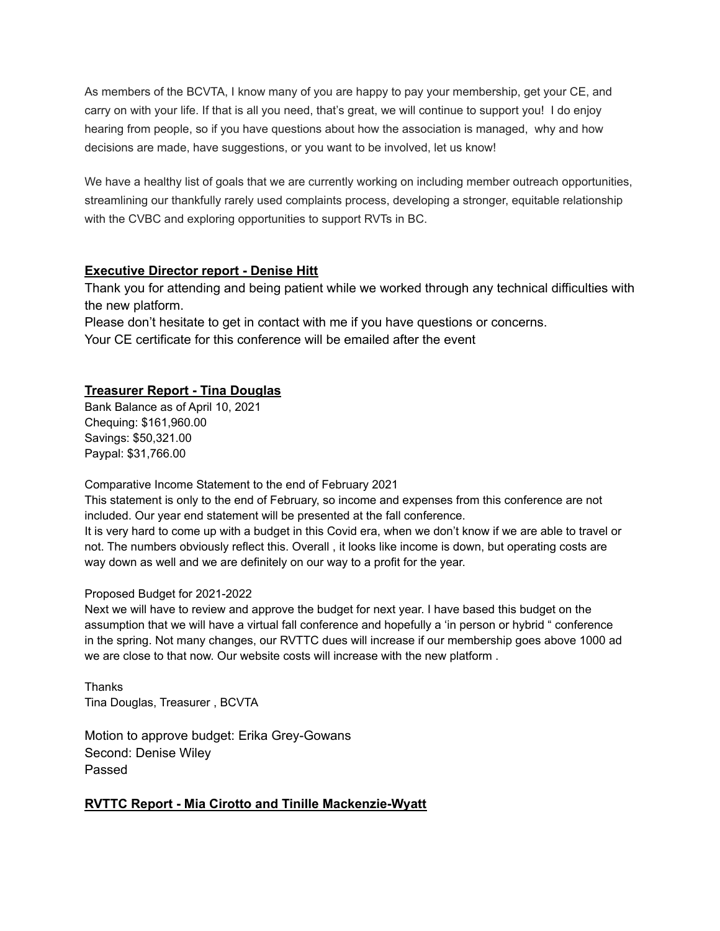As members of the BCVTA, I know many of you are happy to pay your membership, get your CE, and carry on with your life. If that is all you need, that's great, we will continue to support you! I do enjoy hearing from people, so if you have questions about how the association is managed, why and how decisions are made, have suggestions, or you want to be involved, let us know!

We have a healthy list of goals that we are currently working on including member outreach opportunities, streamlining our thankfully rarely used complaints process, developing a stronger, equitable relationship with the CVBC and exploring opportunities to support RVTs in BC.

### **Executive Director report - Denise Hitt**

Thank you for attending and being patient while we worked through any technical difficulties with the new platform.

Please don't hesitate to get in contact with me if you have questions or concerns. Your CE certificate for this conference will be emailed after the event

### **Treasurer Report - Tina Douglas**

Bank Balance as of April 10, 2021 Chequing: \$161,960.00 Savings: \$50,321.00 Paypal: \$31,766.00

Comparative Income Statement to the end of February 2021

This statement is only to the end of February, so income and expenses from this conference are not included. Our year end statement will be presented at the fall conference.

It is very hard to come up with a budget in this Covid era, when we don't know if we are able to travel or not. The numbers obviously reflect this. Overall , it looks like income is down, but operating costs are way down as well and we are definitely on our way to a profit for the year.

#### Proposed Budget for 2021-2022

Next we will have to review and approve the budget for next year. I have based this budget on the assumption that we will have a virtual fall conference and hopefully a 'in person or hybrid " conference in the spring. Not many changes, our RVTTC dues will increase if our membership goes above 1000 ad we are close to that now. Our website costs will increase with the new platform .

**Thanks** Tina Douglas, Treasurer , BCVTA

Motion to approve budget: Erika Grey-Gowans Second: Denise Wiley Passed

### **RVTTC Report - Mia Cirotto and Tinille Mackenzie-Wyatt**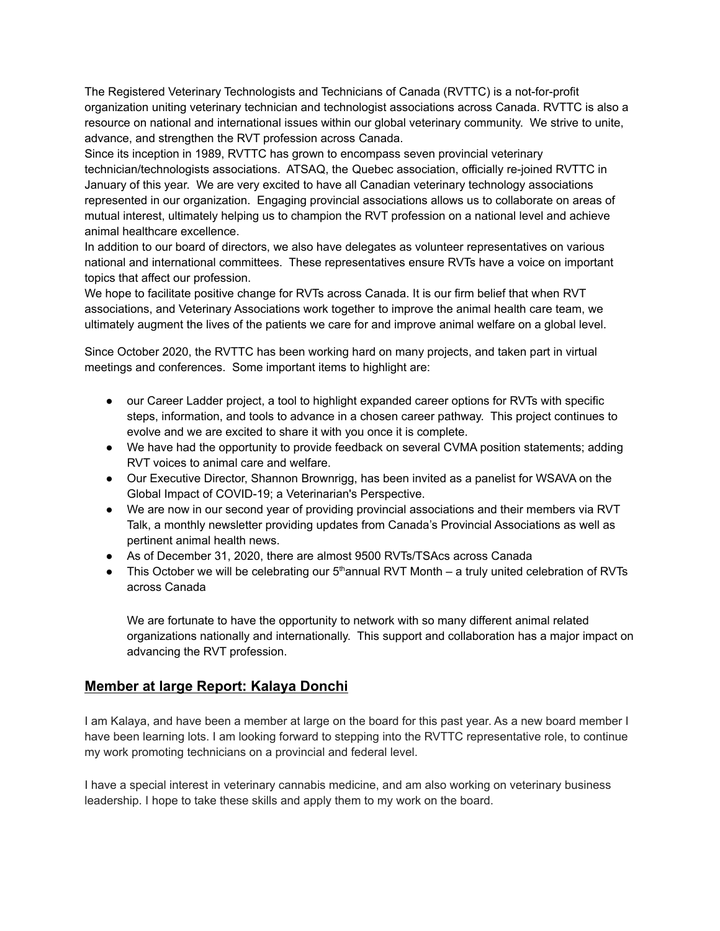The Registered Veterinary Technologists and Technicians of Canada (RVTTC) is a not-for-profit organization uniting veterinary technician and technologist associations across Canada. RVTTC is also a resource on national and international issues within our global veterinary community. We strive to unite, advance, and strengthen the RVT profession across Canada.

Since its inception in 1989, RVTTC has grown to encompass seven provincial veterinary technician/technologists associations. ATSAQ, the Quebec association, officially re-joined RVTTC in January of this year. We are very excited to have all Canadian veterinary technology associations represented in our organization. Engaging provincial associations allows us to collaborate on areas of mutual interest, ultimately helping us to champion the RVT profession on a national level and achieve animal healthcare excellence.

In addition to our board of directors, we also have delegates as volunteer representatives on various national and international committees. These representatives ensure RVTs have a voice on important topics that affect our profession.

We hope to facilitate positive change for RVTs across Canada. It is our firm belief that when RVT associations, and Veterinary Associations work together to improve the animal health care team, we ultimately augment the lives of the patients we care for and improve animal welfare on a global level.

Since October 2020, the RVTTC has been working hard on many projects, and taken part in virtual meetings and conferences. Some important items to highlight are:

- our Career Ladder project, a tool to highlight expanded career options for RVTs with specific steps, information, and tools to advance in a chosen career pathway. This project continues to evolve and we are excited to share it with you once it is complete.
- We have had the opportunity to provide feedback on several CVMA position statements; adding RVT voices to animal care and welfare.
- Our Executive Director, Shannon Brownrigg, has been invited as a panelist for WSAVA on the Global Impact of COVID-19; a Veterinarian's Perspective.
- We are now in our second year of providing provincial associations and their members via RVT Talk, a monthly newsletter providing updates from Canada's Provincial Associations as well as pertinent animal health news.
- As of December 31, 2020, there are almost 9500 RVTs/TSAcs across Canada
- $\bullet$  This October we will be celebrating our  $5<sup>th</sup>$ annual RVT Month a truly united celebration of RVTs across Canada

We are fortunate to have the opportunity to network with so many different animal related organizations nationally and internationally. This support and collaboration has a major impact on advancing the RVT profession.

# **Member at large Report: Kalaya Donchi**

I am Kalaya, and have been a member at large on the board for this past year. As a new board member I have been learning lots. I am looking forward to stepping into the RVTTC representative role, to continue my work promoting technicians on a provincial and federal level.

I have a special interest in veterinary cannabis medicine, and am also working on veterinary business leadership. I hope to take these skills and apply them to my work on the board.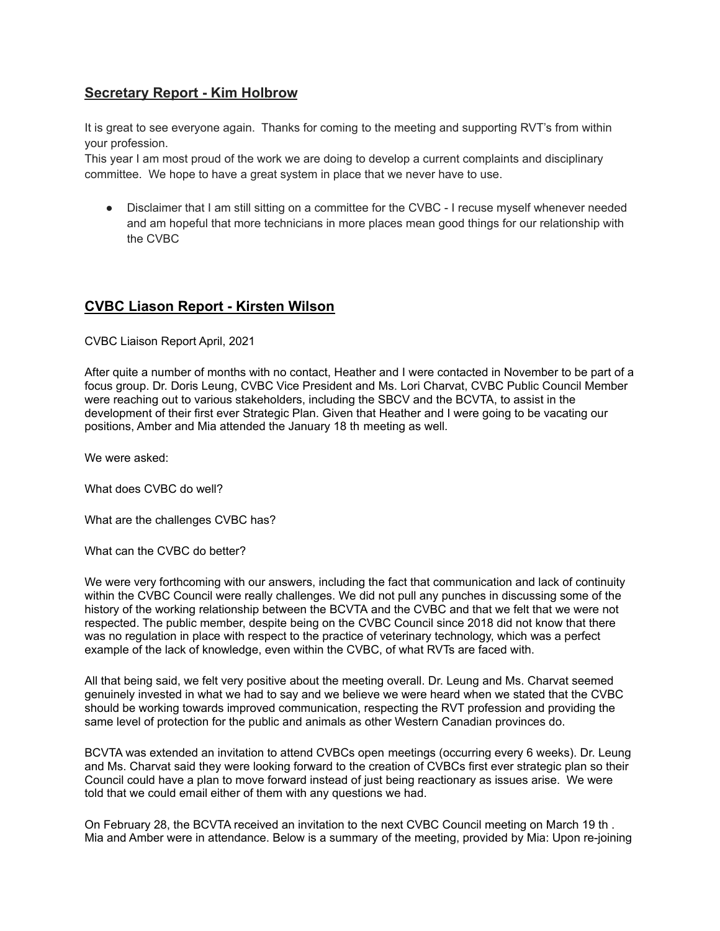# **Secretary Report - Kim Holbrow**

It is great to see everyone again. Thanks for coming to the meeting and supporting RVT's from within your profession.

This year I am most proud of the work we are doing to develop a current complaints and disciplinary committee. We hope to have a great system in place that we never have to use.

Disclaimer that I am still sitting on a committee for the CVBC - I recuse myself whenever needed and am hopeful that more technicians in more places mean good things for our relationship with the CVBC

# **CVBC Liason Report - Kirsten Wilson**

CVBC Liaison Report April, 2021

After quite a number of months with no contact, Heather and I were contacted in November to be part of a focus group. Dr. Doris Leung, CVBC Vice President and Ms. Lori Charvat, CVBC Public Council Member were reaching out to various stakeholders, including the SBCV and the BCVTA, to assist in the development of their first ever Strategic Plan. Given that Heather and I were going to be vacating our positions, Amber and Mia attended the January 18 th meeting as well.

We were asked:

What does CVBC do well?

What are the challenges CVBC has?

What can the CVBC do better?

We were very forthcoming with our answers, including the fact that communication and lack of continuity within the CVBC Council were really challenges. We did not pull any punches in discussing some of the history of the working relationship between the BCVTA and the CVBC and that we felt that we were not respected. The public member, despite being on the CVBC Council since 2018 did not know that there was no regulation in place with respect to the practice of veterinary technology, which was a perfect example of the lack of knowledge, even within the CVBC, of what RVTs are faced with.

All that being said, we felt very positive about the meeting overall. Dr. Leung and Ms. Charvat seemed genuinely invested in what we had to say and we believe we were heard when we stated that the CVBC should be working towards improved communication, respecting the RVT profession and providing the same level of protection for the public and animals as other Western Canadian provinces do.

BCVTA was extended an invitation to attend CVBCs open meetings (occurring every 6 weeks). Dr. Leung and Ms. Charvat said they were looking forward to the creation of CVBCs first ever strategic plan so their Council could have a plan to move forward instead of just being reactionary as issues arise. We were told that we could email either of them with any questions we had.

On February 28, the BCVTA received an invitation to the next CVBC Council meeting on March 19 th . Mia and Amber were in attendance. Below is a summary of the meeting, provided by Mia: Upon re-joining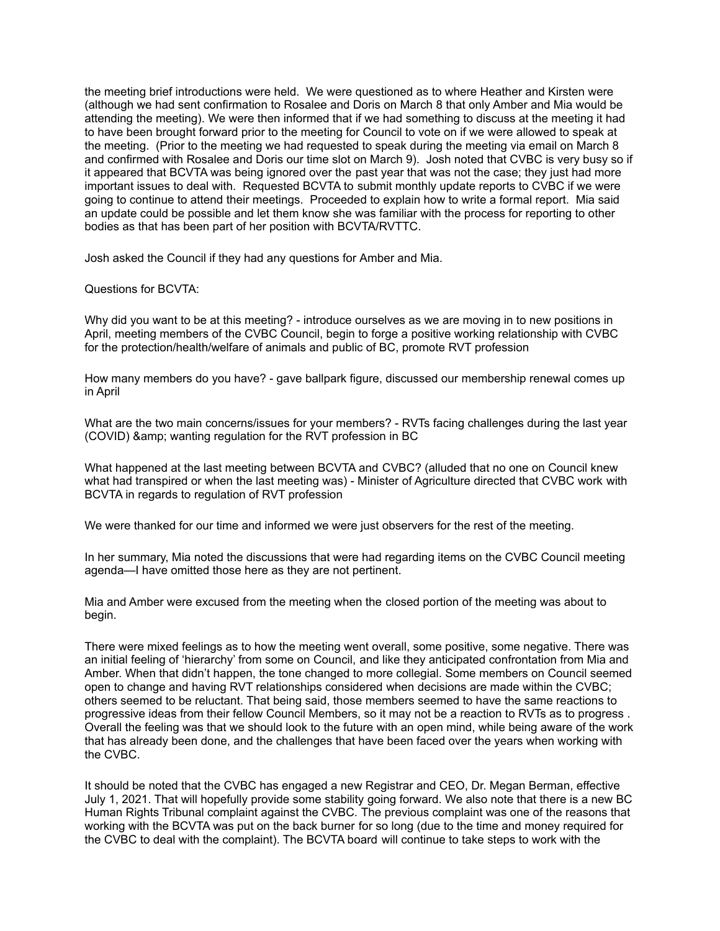the meeting brief introductions were held. We were questioned as to where Heather and Kirsten were (although we had sent confirmation to Rosalee and Doris on March 8 that only Amber and Mia would be attending the meeting). We were then informed that if we had something to discuss at the meeting it had to have been brought forward prior to the meeting for Council to vote on if we were allowed to speak at the meeting. (Prior to the meeting we had requested to speak during the meeting via email on March 8 and confirmed with Rosalee and Doris our time slot on March 9). Josh noted that CVBC is very busy so if it appeared that BCVTA was being ignored over the past year that was not the case; they just had more important issues to deal with. Requested BCVTA to submit monthly update reports to CVBC if we were going to continue to attend their meetings. Proceeded to explain how to write a formal report. Mia said an update could be possible and let them know she was familiar with the process for reporting to other bodies as that has been part of her position with BCVTA/RVTTC.

Josh asked the Council if they had any questions for Amber and Mia.

Questions for BCVTA:

Why did you want to be at this meeting? - introduce ourselves as we are moving in to new positions in April, meeting members of the CVBC Council, begin to forge a positive working relationship with CVBC for the protection/health/welfare of animals and public of BC, promote RVT profession

How many members do you have? - gave ballpark figure, discussed our membership renewal comes up in April

What are the two main concerns/issues for your members? - RVTs facing challenges during the last year (COVID) & amp; wanting regulation for the RVT profession in BC

What happened at the last meeting between BCVTA and CVBC? (alluded that no one on Council knew what had transpired or when the last meeting was) - Minister of Agriculture directed that CVBC work with BCVTA in regards to regulation of RVT profession

We were thanked for our time and informed we were just observers for the rest of the meeting.

In her summary, Mia noted the discussions that were had regarding items on the CVBC Council meeting agenda—I have omitted those here as they are not pertinent.

Mia and Amber were excused from the meeting when the closed portion of the meeting was about to begin.

There were mixed feelings as to how the meeting went overall, some positive, some negative. There was an initial feeling of 'hierarchy' from some on Council, and like they anticipated confrontation from Mia and Amber. When that didn't happen, the tone changed to more collegial. Some members on Council seemed open to change and having RVT relationships considered when decisions are made within the CVBC; others seemed to be reluctant. That being said, those members seemed to have the same reactions to progressive ideas from their fellow Council Members, so it may not be a reaction to RVTs as to progress . Overall the feeling was that we should look to the future with an open mind, while being aware of the work that has already been done, and the challenges that have been faced over the years when working with the CVBC.

It should be noted that the CVBC has engaged a new Registrar and CEO, Dr. Megan Berman, effective July 1, 2021. That will hopefully provide some stability going forward. We also note that there is a new BC Human Rights Tribunal complaint against the CVBC. The previous complaint was one of the reasons that working with the BCVTA was put on the back burner for so long (due to the time and money required for the CVBC to deal with the complaint). The BCVTA board will continue to take steps to work with the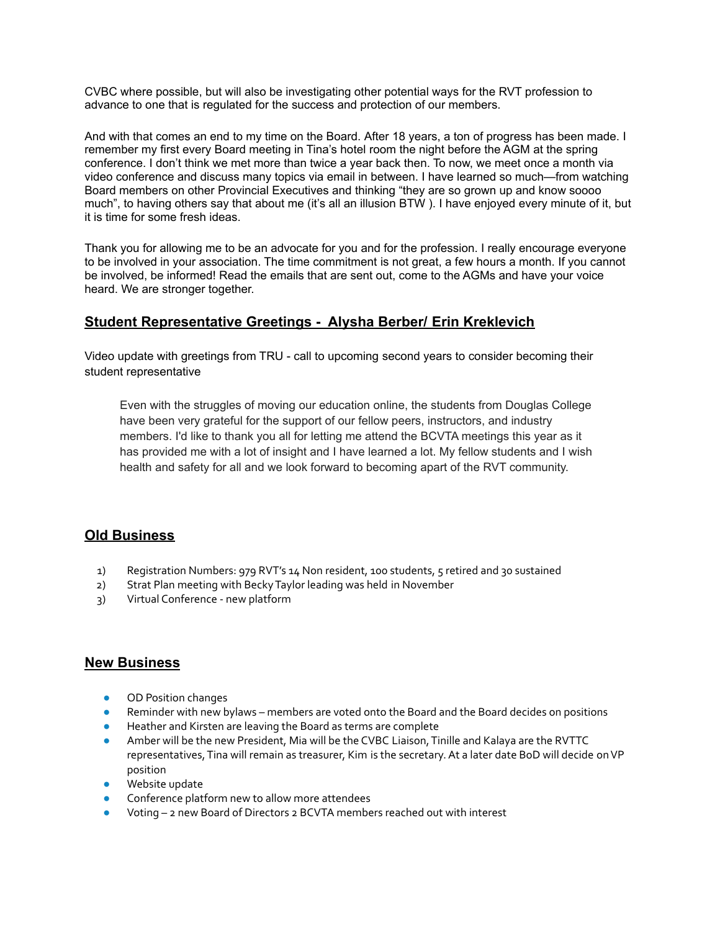CVBC where possible, but will also be investigating other potential ways for the RVT profession to advance to one that is regulated for the success and protection of our members.

And with that comes an end to my time on the Board. After 18 years, a ton of progress has been made. I remember my first every Board meeting in Tina's hotel room the night before the AGM at the spring conference. I don't think we met more than twice a year back then. To now, we meet once a month via video conference and discuss many topics via email in between. I have learned so much—from watching Board members on other Provincial Executives and thinking "they are so grown up and know soooo much", to having others say that about me (it's all an illusion BTW ). I have enjoyed every minute of it, but it is time for some fresh ideas.

Thank you for allowing me to be an advocate for you and for the profession. I really encourage everyone to be involved in your association. The time commitment is not great, a few hours a month. If you cannot be involved, be informed! Read the emails that are sent out, come to the AGMs and have your voice heard. We are stronger together.

### **Student Representative Greetings - Alysha Berber/ Erin Kreklevich**

Video update with greetings from TRU - call to upcoming second years to consider becoming their student representative

Even with the struggles of moving our education online, the students from Douglas College have been very grateful for the support of our fellow peers, instructors, and industry members. I'd like to thank you all for letting me attend the BCVTA meetings this year as it has provided me with a lot of insight and I have learned a lot. My fellow students and I wish health and safety for all and we look forward to becoming apart of the RVT community.

### **Old Business**

- 1) Registration Numbers: 979 RVT's 14 Non resident, 100 students, 5 retired and 30 sustained
- 2) Strat Plan meeting with BeckyTaylor leading was held in November
- 3) Virtual Conference new platform

### **New Business**

- OD Position changes
- Reminder with new bylaws members are voted onto the Board and the Board decides on positions
- Heather and Kirsten are leaving the Board as terms are complete
- Amber will be the new President, Mia will be the CVBC Liaison, Tinille and Kalaya are the RVTTC representatives, Tina will remain as treasurer, Kim is the secretary. At a later date BoD will decide on VP position
- Website update
- Conference platform new to allow more attendees
- Voting  $-$  2 new Board of Directors 2 BCVTA members reached out with interest